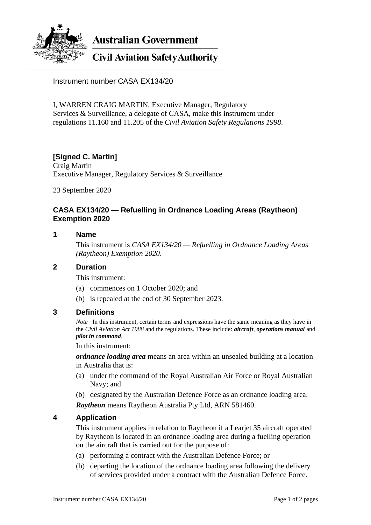

**Australian Government** 

# **Civil Aviation Safety Authority**

Instrument number CASA EX134/20

I, WARREN CRAIG MARTIN, Executive Manager, Regulatory Services & Surveillance, a delegate of CASA, make this instrument under regulations 11.160 and 11.205 of the *Civil Aviation Safety Regulations 1998*.

## **[Signed C. Martin]**

Craig Martin Executive Manager, Regulatory Services & Surveillance

23 September 2020

## **CASA EX134/20 — Refuelling in Ordnance Loading Areas (Raytheon) Exemption 2020**

#### **1 Name**

This instrument is *CASA EX134/20 — Refuelling in Ordnance Loading Areas (Raytheon) Exemption 2020*.

#### **2 Duration**

This instrument:

- (a) commences on 1 October 2020; and
- (b) is repealed at the end of 30 September 2023.

## **3 Definitions**

*Note* In this instrument, certain terms and expressions have the same meaning as they have in the *Civil Aviation Act 1988* and the regulations. These include: *aircraft*, *operations manual* and *pilot in command*.

In this instrument:

*ordnance loading area* means an area within an unsealed building at a location in Australia that is:

- (a) under the command of the Royal Australian Air Force or Royal Australian Navy; and
- (b) designated by the Australian Defence Force as an ordnance loading area.

*Raytheon* means Raytheon Australia Pty Ltd, ARN 581460.

## **4 Application**

This instrument applies in relation to Raytheon if a Learjet 35 aircraft operated by Raytheon is located in an ordnance loading area during a fuelling operation on the aircraft that is carried out for the purpose of:

- (a) performing a contract with the Australian Defence Force; or
- (b) departing the location of the ordnance loading area following the delivery of services provided under a contract with the Australian Defence Force.